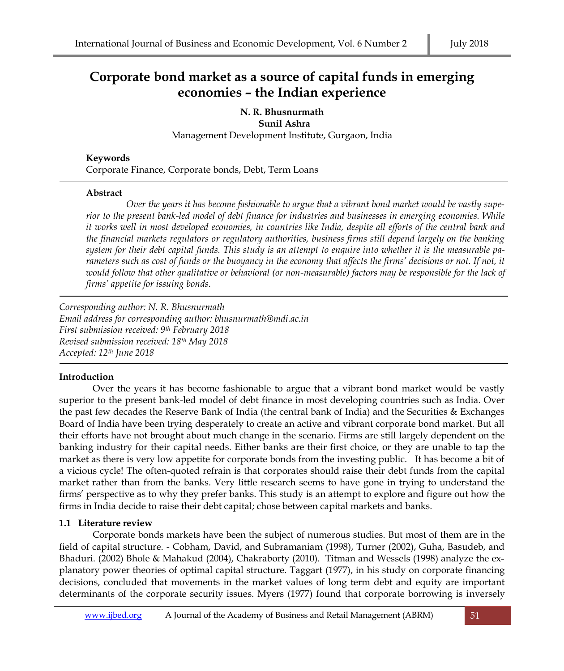# **Corporate bond market as a source of capital funds in emerging economies – the Indian experience**

**N. R. Bhusnurmath** 

 **Sunil Ashra**

Management Development Institute, Gurgaon, India

#### **Keywords**

Corporate Finance, Corporate bonds, Debt, Term Loans

#### **Abstract**

*Over the years it has become fashionable to argue that a vibrant bond market would be vastly superior to the present bank-led model of debt finance for industries and businesses in emerging economies. While it works well in most developed economies, in countries like India, despite all efforts of the central bank and the financial markets regulators or regulatory authorities, business firms still depend largely on the banking system for their debt capital funds. This study is an attempt to enquire into whether it is the measurable pa*rameters such as cost of funds or the buoyancy in the economy that affects the firms' decisions or not. If not, it *would follow that other qualitative or behavioral (or non-measurable) factors may be responsible for the lack of firms' appetite for issuing bonds.*

*Corresponding author: N. R. Bhusnurmath* *Email address for corresponding author: bhusnurmath@mdi.ac.in First submission received: 9th February 2018 Revised submission received: 18th May 2018 Accepted: 12th June 2018*

### **Introduction**

Over the years it has become fashionable to argue that a vibrant bond market would be vastly superior to the present bank-led model of debt finance in most developing countries such as India. Over the past few decades the Reserve Bank of India (the central bank of India) and the Securities & Exchanges Board of India have been trying desperately to create an active and vibrant corporate bond market. But all their efforts have not brought about much change in the scenario. Firms are still largely dependent on the banking industry for their capital needs. Either banks are their first choice, or they are unable to tap the market as there is very low appetite for corporate bonds from the investing public. It has become a bit of a vicious cycle! The often-quoted refrain is that corporates should raise their debt funds from the capital market rather than from the banks. Very little research seems to have gone in trying to understand the firms' perspective as to why they prefer banks. This study is an attempt to explore and figure out how the firms in India decide to raise their debt capital; chose between capital markets and banks.

### **1.1 Literature review**

Corporate bonds markets have been the subject of numerous studies. But most of them are in the field of capital structure. - Cobham, David, and Subramaniam (1998), Turner (2002), Guha, Basudeb, and Bhaduri. (2002) Bhole & Mahakud (2004), Chakraborty (2010). Titman and Wessels (1998) analyze the explanatory power theories of optimal capital structure. Taggart (1977), in his study on corporate financing decisions, concluded that movements in the market values of long term debt and equity are important determinants of the corporate security issues. Myers (1977) found that corporate borrowing is inversely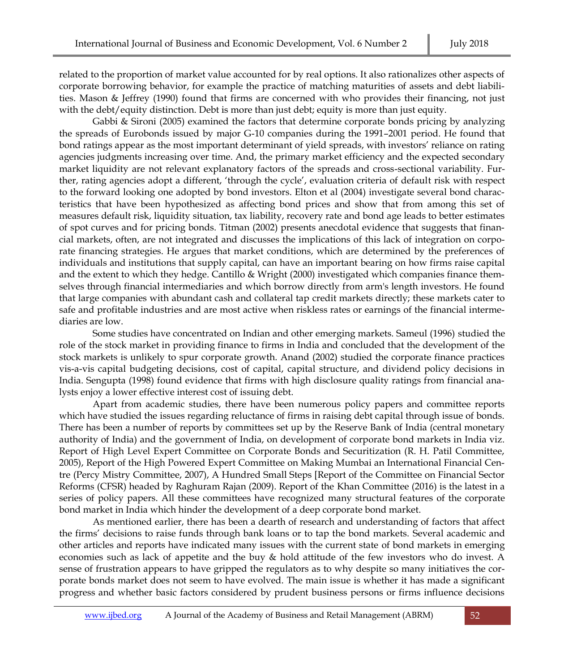related to the proportion of market value accounted for by real options. It also rationalizes other aspects of corporate borrowing behavior, for example the practice of matching maturities of assets and debt liabilities. Mason & Jeffrey (1990) found that firms are concerned with who provides their financing, not just with the debt/equity distinction. Debt is more than just debt; equity is more than just equity.

Gabbi & Sironi (2005) examined the factors that determine corporate bonds pricing by analyzing the spreads of Eurobonds issued by major G-10 companies during the 1991–2001 period. He found that bond ratings appear as the most important determinant of yield spreads, with investors' reliance on rating agencies judgments increasing over time. And, the primary market efficiency and the expected secondary market liquidity are not relevant explanatory factors of the spreads and cross-sectional variability. Further, rating agencies adopt a different, 'through the cycle', evaluation criteria of default risk with respect to the forward looking one adopted by bond investors. Elton et al (2004) investigate several bond characteristics that have been hypothesized as affecting bond prices and show that from among this set of measures default risk, liquidity situation, tax liability, recovery rate and bond age leads to better estimates of spot curves and for pricing bonds. Titman (2002) presents anecdotal evidence that suggests that financial markets, often, are not integrated and discusses the implications of this lack of integration on corporate financing strategies. He argues that market conditions, which are determined by the preferences of individuals and institutions that supply capital, can have an important bearing on how firms raise capital and the extent to which they hedge. Cantillo & Wright (2000) investigated which companies finance themselves through financial intermediaries and which borrow directly from arm's length investors. He found that large companies with abundant cash and collateral tap credit markets directly; these markets cater to safe and profitable industries and are most active when riskless rates or earnings of the financial intermediaries are low.

Some studies have concentrated on Indian and other emerging markets. Sameul (1996) studied the role of the stock market in providing finance to firms in India and concluded that the development of the stock markets is unlikely to spur corporate growth. Anand (2002) studied the corporate finance practices vis-a-vis capital budgeting decisions, cost of capital, capital structure, and dividend policy decisions in India. Sengupta (1998) found evidence that firms with high disclosure quality ratings from financial analysts enjoy a lower effective interest cost of issuing debt.

Apart from academic studies, there have been numerous policy papers and committee reports which have studied the issues regarding reluctance of firms in raising debt capital through issue of bonds. There has been a number of reports by committees set up by the Reserve Bank of India (central monetary authority of India) and the government of India, on development of corporate bond markets in India viz. Report of High Level Expert Committee on Corporate Bonds and Securitization (R. H. Patil Committee, 2005), Report of the High Powered Expert Committee on Making Mumbai an International Financial Centre (Percy Mistry Committee, 2007), A Hundred Small Steps [Report of the Committee on Financial Sector Reforms (CFSR) headed by Raghuram Rajan (2009). Report of the Khan Committee (2016) is the latest in a series of policy papers. All these committees have recognized many structural features of the corporate bond market in India which hinder the development of a deep corporate bond market.

As mentioned earlier, there has been a dearth of research and understanding of factors that affect the firms' decisions to raise funds through bank loans or to tap the bond markets. Several academic and other articles and reports have indicated many issues with the current state of bond markets in emerging economies such as lack of appetite and the buy & hold attitude of the few investors who do invest. A sense of frustration appears to have gripped the regulators as to why despite so many initiatives the corporate bonds market does not seem to have evolved. The main issue is whether it has made a significant progress and whether basic factors considered by prudent business persons or firms influence decisions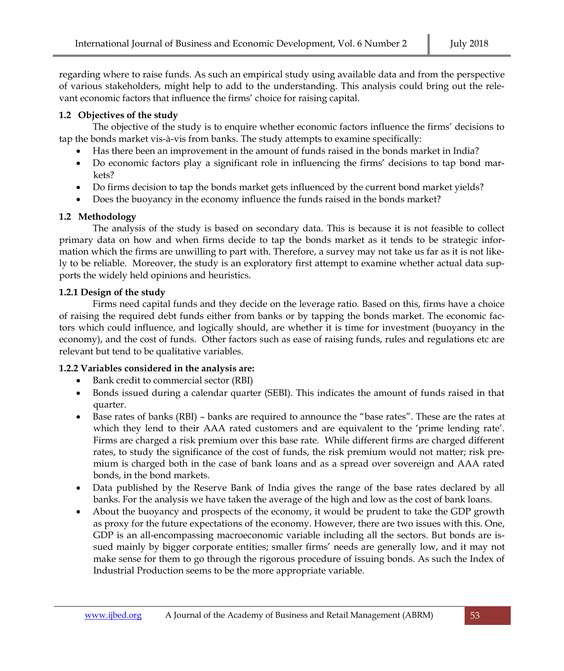regarding where to raise funds. As such an empirical study using available data and from the perspective of various stakeholders, might help to add to the understanding. This analysis could bring out the relevant economic factors that influence the firms' choice for raising capital.

### **1.2 Objectives of the study**

The objective of the study is to enquire whether economic factors influence the firms' decisions to tap the bonds market vis-à-vis from banks. The study attempts to examine specifically:

- Has there been an improvement in the amount of funds raised in the bonds market in India?
- Do economic factors play a significant role in influencing the firms' decisions to tap bond markets?
- Do firms decision to tap the bonds market gets influenced by the current bond market yields?
- Does the buoyancy in the economy influence the funds raised in the bonds market?

# **1.2 Methodology**

The analysis of the study is based on secondary data. This is because it is not feasible to collect primary data on how and when firms decide to tap the bonds market as it tends to be strategic information which the firms are unwilling to part with. Therefore, a survey may not take us far as it is not likely to be reliable. Moreover, the study is an exploratory first attempt to examine whether actual data supports the widely held opinions and heuristics.

# **1.2.1 Design of the study**

Firms need capital funds and they decide on the leverage ratio. Based on this, firms have a choice of raising the required debt funds either from banks or by tapping the bonds market. The economic factors which could influence, and logically should, are whether it is time for investment (buoyancy in the economy), and the cost of funds. Other factors such as ease of raising funds, rules and regulations etc are relevant but tend to be qualitative variables.

# **1.2.2 Variables considered in the analysis are:**

- Bank credit to commercial sector (RBI)
- Bonds issued during a calendar quarter (SEBI). This indicates the amount of funds raised in that quarter.
- Base rates of banks (RBI) banks are required to announce the "base rates". These are the rates at which they lend to their AAA rated customers and are equivalent to the 'prime lending rate'. Firms are charged a risk premium over this base rate. While different firms are charged different rates, to study the significance of the cost of funds, the risk premium would not matter; risk premium is charged both in the case of bank loans and as a spread over sovereign and AAA rated bonds, in the bond markets.
- Data published by the Reserve Bank of India gives the range of the base rates declared by all banks. For the analysis we have taken the average of the high and low as the cost of bank loans.
- About the buoyancy and prospects of the economy, it would be prudent to take the GDP growth as proxy for the future expectations of the economy. However, there are two issues with this. One, GDP is an all-encompassing macroeconomic variable including all the sectors. But bonds are issued mainly by bigger corporate entities; smaller firms' needs are generally low, and it may not make sense for them to go through the rigorous procedure of issuing bonds. As such the Index of Industrial Production seems to be the more appropriate variable.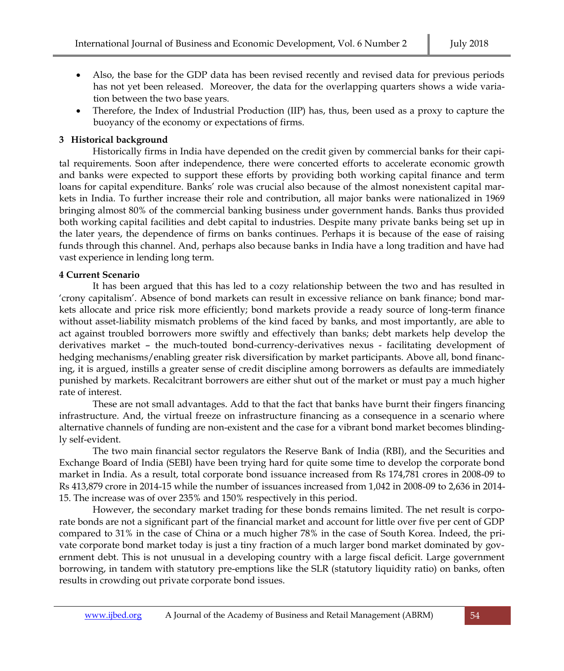- Also, the base for the GDP data has been revised recently and revised data for previous periods has not yet been released. Moreover, the data for the overlapping quarters shows a wide variation between the two base years.
- Therefore, the Index of Industrial Production (IIP) has, thus, been used as a proxy to capture the buoyancy of the economy or expectations of firms.

### **3 Historical background**

Historically firms in India have depended on the credit given by commercial banks for their capital requirements. Soon after independence, there were concerted efforts to accelerate economic growth and banks were expected to support these efforts by providing both working capital finance and term loans for capital expenditure. Banks' role was crucial also because of the almost nonexistent capital markets in India. To further increase their role and contribution, all major banks were nationalized in 1969 bringing almost 80% of the commercial banking business under government hands. Banks thus provided both working capital facilities and debt capital to industries. Despite many private banks being set up in the later years, the dependence of firms on banks continues. Perhaps it is because of the ease of raising funds through this channel. And, perhaps also because banks in India have a long tradition and have had vast experience in lending long term.

# **4 Current Scenario**

It has been argued that this has led to a cozy relationship between the two and has resulted in 'crony capitalism'. Absence of bond markets can result in excessive reliance on bank finance; bond markets allocate and price risk more efficiently; bond markets provide a ready source of long-term finance without asset-liability mismatch problems of the kind faced by banks, and most importantly, are able to act against troubled borrowers more swiftly and effectively than banks; debt markets help develop the derivatives market – the much-touted bond-currency-derivatives nexus - facilitating development of hedging mechanisms/enabling greater risk diversification by market participants. Above all, bond financing, it is argued, instills a greater sense of credit discipline among borrowers as defaults are immediately punished by markets. Recalcitrant borrowers are either shut out of the market or must pay a much higher rate of interest.

These are not small advantages. Add to that the fact that banks have burnt their fingers financing infrastructure. And, the virtual freeze on infrastructure financing as a consequence in a scenario where alternative channels of funding are non-existent and the case for a vibrant bond market becomes blindingly self-evident.

The two main financial sector regulators the Reserve Bank of India (RBI), and the Securities and Exchange Board of India (SEBI) have been trying hard for quite some time to develop the corporate bond market in India. As a result, total corporate bond issuance increased from Rs 174,781 crores in 2008-09 to Rs 413,879 crore in 2014-15 while the number of issuances increased from 1,042 in 2008-09 to 2,636 in 2014- 15. The increase was of over 235% and 150% respectively in this period.

However, the secondary market trading for these bonds remains limited. The net result is corporate bonds are not a significant part of the financial market and account for little over five per cent of GDP compared to 31% in the case of China or a much higher 78% in the case of South Korea. Indeed, the private corporate bond market today is just a tiny fraction of a much larger bond market dominated by government debt. This is not unusual in a developing country with a large fiscal deficit. Large government borrowing, in tandem with statutory pre-emptions like the SLR (statutory liquidity ratio) on banks, often results in crowding out private corporate bond issues.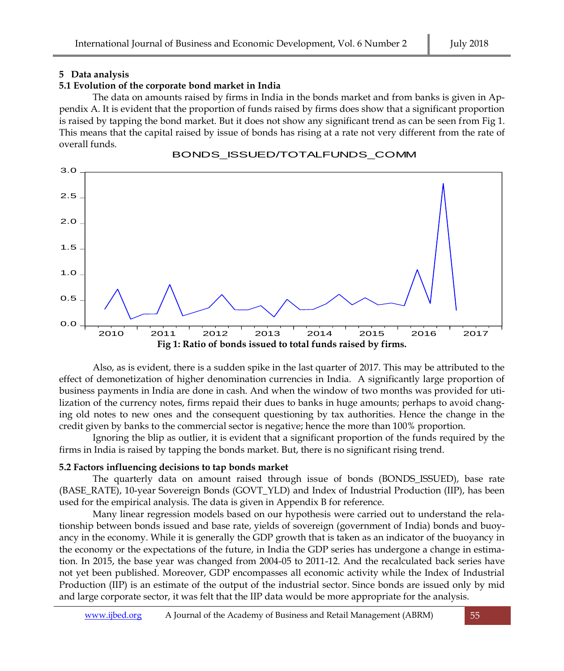#### **5 Data analysis**

# **5.1 Evolution of the corporate bond market in India**

The data on amounts raised by firms in India in the bonds market and from banks is given in Appendix A. It is evident that the proportion of funds raised by firms does show that a significant proportion is raised by tapping the bond market. But it does not show any significant trend as can be seen from Fig 1. This means that the capital raised by issue of bonds has rising at a rate not very different from the rate of overall funds.



BONDS\_ISSUED/TOTALFUNDS\_COMM

Also, as is evident, there is a sudden spike in the last quarter of 2017. This may be attributed to the effect of demonetization of higher denomination currencies in India. A significantly large proportion of business payments in India are done in cash. And when the window of two months was provided for utilization of the currency notes, firms repaid their dues to banks in huge amounts; perhaps to avoid changing old notes to new ones and the consequent questioning by tax authorities. Hence the change in the credit given by banks to the commercial sector is negative; hence the more than 100% proportion.

Ignoring the blip as outlier, it is evident that a significant proportion of the funds required by the firms in India is raised by tapping the bonds market. But, there is no significant rising trend.

# **5.2 Factors influencing decisions to tap bonds market**

The quarterly data on amount raised through issue of bonds (BONDS\_ISSUED), base rate (BASE\_RATE), 10-year Sovereign Bonds (GOVT\_YLD) and Index of Industrial Production (IIP), has been used for the empirical analysis. The data is given in Appendix B for reference.

Many linear regression models based on our hypothesis were carried out to understand the relationship between bonds issued and base rate, yields of sovereign (government of India) bonds and buoyancy in the economy. While it is generally the GDP growth that is taken as an indicator of the buoyancy in the economy or the expectations of the future, in India the GDP series has undergone a change in estimation. In 2015, the base year was changed from 2004-05 to 2011-12. And the recalculated back series have not yet been published. Moreover, GDP encompasses all economic activity while the Index of Industrial Production (IIP) is an estimate of the output of the industrial sector. Since bonds are issued only by mid and large corporate sector, it was felt that the IIP data would be more appropriate for the analysis.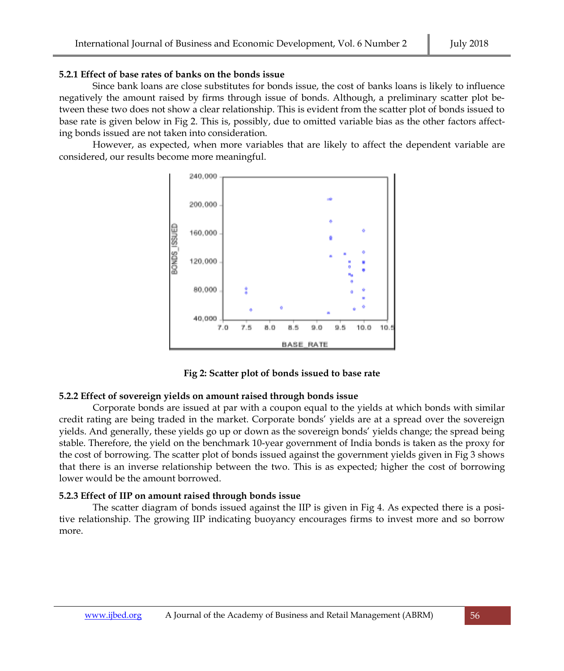#### **5.2.1 Effect of base rates of banks on the bonds issue**

Since bank loans are close substitutes for bonds issue, the cost of banks loans is likely to influence negatively the amount raised by firms through issue of bonds. Although, a preliminary scatter plot between these two does not show a clear relationship. This is evident from the scatter plot of bonds issued to base rate is given below in Fig 2. This is, possibly, due to omitted variable bias as the other factors affecting bonds issued are not taken into consideration.

However, as expected, when more variables that are likely to affect the dependent variable are considered, our results become more meaningful.



**Fig 2: Scatter plot of bonds issued to base rate**

#### **5.2.2 Effect of sovereign yields on amount raised through bonds issue**

Corporate bonds are issued at par with a coupon equal to the yields at which bonds with similar credit rating are being traded in the market. Corporate bonds' yields are at a spread over the sovereign yields. And generally, these yields go up or down as the sovereign bonds' yields change; the spread being stable. Therefore, the yield on the benchmark 10-year government of India bonds is taken as the proxy for the cost of borrowing. The scatter plot of bonds issued against the government yields given in Fig 3 shows that there is an inverse relationship between the two. This is as expected; higher the cost of borrowing lower would be the amount borrowed.

#### **5.2.3 Effect of IIP on amount raised through bonds issue**

The scatter diagram of bonds issued against the IIP is given in Fig 4. As expected there is a positive relationship. The growing IIP indicating buoyancy encourages firms to invest more and so borrow more.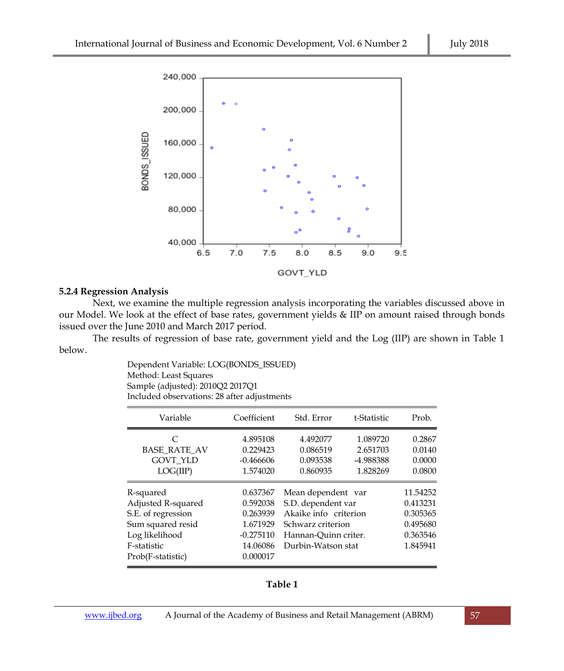

#### **5.2.4 Regression Analysis**

Next, we examine the multiple regression analysis incorporating the variables discussed above in our Model. We look at the effect of base rates, government yields & IIP on amount raised through bonds issued over the June 2010 and March 2017 period.

The results of regression of base rate, government yield and the Log (IIP) are shown in Table 1 below.

> Dependent Variable: LOG(BONDS\_ISSUED) Method: Least Squares Sample (adjusted): 2010Q2 2017Q1 Included observations: 28 after adjustments

| Variable            | Coefficient | Std. Error            | t-Statistic | Prob.    |
|---------------------|-------------|-----------------------|-------------|----------|
| $\subset$           | 4.895108    | 4.492077              | 1.089720    | 0.2867   |
| <b>BASE RATE AV</b> | 0.229423    | 0.086519              | 2.651703    | 0.0140   |
| <b>GOVT YLD</b>     | $-0.466606$ | 0.093538              | -4.988388   | 0.0000   |
| LOG(IIP)            | 1.574020    | 0.860935              | 1.828269    | 0.0800   |
| R-squared           | 0.637367    | Mean dependent var    |             | 11.54252 |
| Adjusted R-squared  | 0.592038    | S.D. dependent var    |             | 0.413231 |
| S.E. of regression  | 0.263939    | Akaike info criterion |             | 0.305365 |
| Sum squared resid   | 1.671929    | Schwarz criterion     |             | 0.495680 |
| Log likelihood      | $-0.275110$ | Hannan-Quinn criter.  |             | 0.363546 |
| F-statistic         | 14.06086    | Durbin-Watson stat    |             | 1.845941 |
| Prob(F-statistic)   | 0.000017    |                       |             |          |

**Table 1**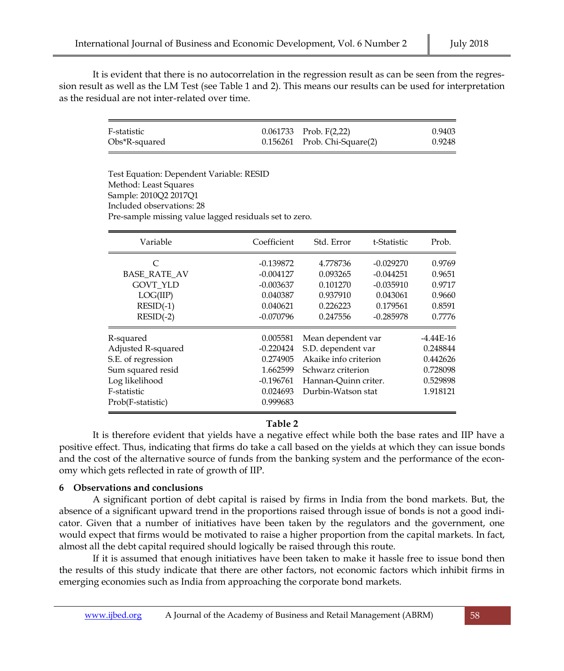It is evident that there is no autocorrelation in the regression result as can be seen from the regression result as well as the LM Test (see Table 1 and 2). This means our results can be used for interpretation as the residual are not inter-related over time.

| F-statistic   | $0.061733$ Prob. $F(2,22)$        | 0.9403 |
|---------------|-----------------------------------|--------|
| Obs*R-squared | $0.156261$ Prob. Chi-Square $(2)$ | 0.9248 |

Test Equation: Dependent Variable: RESID Method: Least Squares Sample: 2010Q2 2017Q1 Included observations: 28 Pre-sample missing value lagged residuals set to zero.

| Variable                                                                                                                         | Coefficient                                                                            | Std. Error                                                                                                                           | t-Statistic                                                                      | Prob.                                                                   |
|----------------------------------------------------------------------------------------------------------------------------------|----------------------------------------------------------------------------------------|--------------------------------------------------------------------------------------------------------------------------------------|----------------------------------------------------------------------------------|-------------------------------------------------------------------------|
| C<br><b>BASE RATE AV</b><br><b>GOVT YLD</b><br>LOG(IIP)<br>$RESID(-1)$<br>$RESID(-2)$                                            | $-0.139872$<br>$-0.004127$<br>$-0.003637$<br>0.040387<br>0.040621<br>$-0.070796$       | 4.778736<br>0.093265<br>0.101270<br>0.937910<br>0.226223<br>0.247556                                                                 | $-0.029270$<br>$-0.044251$<br>$-0.035910$<br>0.043061<br>0.179561<br>$-0.285978$ | 0.9769<br>0.9651<br>0.9717<br>0.9660<br>0.8591<br>0.7776                |
| R-squared<br>Adjusted R-squared<br>S.E. of regression<br>Sum squared resid<br>Log likelihood<br>F-statistic<br>Prob(F-statistic) | 0.005581<br>$-0.220424$<br>0.274905<br>1.662599<br>$-0.196761$<br>0.024693<br>0.999683 | Mean dependent var<br>S.D. dependent var<br>Akaike info criterion<br>Schwarz criterion<br>Hannan-Quinn criter.<br>Durbin-Watson stat |                                                                                  | $-4.44E-16$<br>0.248844<br>0.442626<br>0.728098<br>0.529898<br>1.918121 |

### **Table 2**

It is therefore evident that yields have a negative effect while both the base rates and IIP have a positive effect. Thus, indicating that firms do take a call based on the yields at which they can issue bonds and the cost of the alternative source of funds from the banking system and the performance of the economy which gets reflected in rate of growth of IIP.

#### **6 Observations and conclusions**

A significant portion of debt capital is raised by firms in India from the bond markets. But, the absence of a significant upward trend in the proportions raised through issue of bonds is not a good indicator. Given that a number of initiatives have been taken by the regulators and the government, one would expect that firms would be motivated to raise a higher proportion from the capital markets. In fact, almost all the debt capital required should logically be raised through this route.

If it is assumed that enough initiatives have been taken to make it hassle free to issue bond then the results of this study indicate that there are other factors, not economic factors which inhibit firms in emerging economies such as India from approaching the corporate bond markets.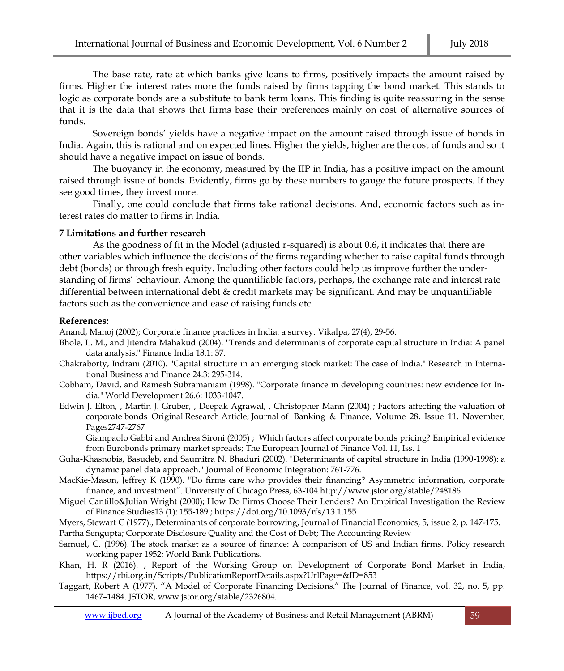The base rate, rate at which banks give loans to firms, positively impacts the amount raised by firms. Higher the interest rates more the funds raised by firms tapping the bond market. This stands to logic as corporate bonds are a substitute to bank term loans. This finding is quite reassuring in the sense that it is the data that shows that firms base their preferences mainly on cost of alternative sources of funds.

Sovereign bonds' yields have a negative impact on the amount raised through issue of bonds in India. Again, this is rational and on expected lines. Higher the yields, higher are the cost of funds and so it should have a negative impact on issue of bonds.

The buoyancy in the economy, measured by the IIP in India, has a positive impact on the amount raised through issue of bonds. Evidently, firms go by these numbers to gauge the future prospects. If they see good times, they invest more.

Finally, one could conclude that firms take rational decisions. And, economic factors such as interest rates do matter to firms in India.

#### **7 Limitations and further research**

As the goodness of fit in the Model (adjusted r-squared) is about 0.6, it indicates that there are other variables which influence the decisions of the firms regarding whether to raise capital funds through debt (bonds) or through fresh equity. Including other factors could help us improve further the understanding of firms' behaviour. Among the quantifiable factors, perhaps, the exchange rate and interest rate differential between international debt & credit markets may be significant. And may be unquantifiable factors such as the convenience and ease of raising funds etc.

#### **References:**

Anand, Manoj (2002); Corporate finance practices in India: a survey. Vikalpa, 27(4), 29-56.

- Bhole, L. M., and Jitendra Mahakud (2004). "Trends and determinants of corporate capital structure in India: A panel data analysis." Finance India 18.1: 37.
- Chakraborty, Indrani (2010). "Capital structure in an emerging stock market: The case of India." Research in International Business and Finance 24.3: 295-314.
- Cobham, David, and Ramesh Subramaniam (1998). "Corporate finance in developing countries: new evidence for India." World Development 26.6: 1033-1047.
- Edwin J. Elton, , Martin J. Gruber, , Deepak Agrawal, , Christopher Mann (2004) ; Factors affecting the valuation of corporate bonds Original Research Article; Journal of Banking & Finance, Volume 28, Issue 11, November, Pages2747-2767

Giampaolo Gabbi and Andrea Sironi (2005) ; [Which factors affect corporate bonds pricing? Empirical evidence](http://www.tandfonline.com/doi/abs/10.1080/1351847032000143422)  [from Eurobonds primary market spreads;](http://www.tandfonline.com/doi/abs/10.1080/1351847032000143422) [The European Journal of](http://www.tandfonline.com/toc/rejf20/11/1) Finance Vol. 11, Iss. 1

- Guha-Khasnobis, Basudeb, and Saumitra N. Bhaduri (2002). "Determinants of capital structure in India (1990-1998): a dynamic panel data approach." Journal of Economic Integration: 761-776.
- MacKie-Mason, Jeffrey K (1990). "Do firms care who provides their financing? Asymmetric information, corporate finance, and investment". University of Chicago Press, 63-10[4.http://www.jstor.org/stable/248186](http://www.jstor.org/stable/248186)
- [Miguel Cantillo&Julian Wright](javascript:;) (2000); How Do Firms Choose Their Lenders? An Empirical Investigation the Review of Finance Studies13 (1): 155-189.; <https://doi.org/10.1093/rfs/13.1.155>
- Myers, Stewart C (1977).[, Determinants of corporate borrowing,](http://econpapers.repec.org/RePEc:eee:jfinec:v:5:y:1977:i:2:p:147-175) Journal of Financial Economics, 5, issue 2, p. 147-175. Partha Sengupta; Corporate Disclosure Quality and the Cost of Debt; The Accounting Review
- Samuel, C. (1996). The stock market as a source of finance: A comparison of US and Indian firms. Policy research working paper 1952; World Bank Publications.
- Khan, H. R (2016). , Report of the Working Group on Development of Corporate Bond Market in India, https://rbi.org.in/Scripts/PublicationReportDetails.aspx?UrlPage=&ID=853
- Taggart, Robert A (1977). "A Model of Corporate Financing Decisions." The Journal of Finance, vol. 32, no. 5, pp. 1467–1484. JSTOR[, www.jstor.org/stable/2326804.](http://www.jstor.org/stable/2326804)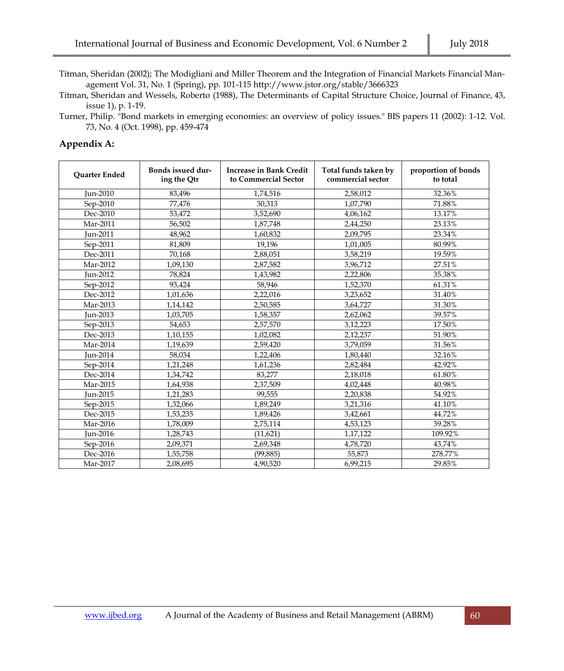Titman, Sheridan (2002); The Modigliani and Miller Theorem and the Integration of Financial Markets Financial Management Vol. 31, No. 1 (Spring), pp. 101-11[5 http://www.jstor.org/stable/3666323](http://www.jstor.org/stable/3666323)

Titman, Sheridan and Wessels, Roberto (1988), [The Determinants of Capital Structure Choice,](http://econpapers.repec.org/RePEc:bla:jfinan:v:43:y:1988:i:1:p:1-19) Journal of Finance, 43, issue 1), p. 1-19.

Turner, Philip. "Bond markets in emerging economies: an overview of policy issues." BIS papers 11 (2002): 1-12. Vol. 73, No. 4 (Oct. 1998), pp. 459-474

#### **Appendix A:**

| <b>Ouarter Ended</b> | Bonds issued dur-<br>ing the Qtr | <b>Increase in Bank Credit</b><br>to Commercial Sector | Total funds taken by<br>commercial sector | proportion of bonds<br>to total |  |
|----------------------|----------------------------------|--------------------------------------------------------|-------------------------------------------|---------------------------------|--|
| Jun-2010             | 83,496                           | 1,74,516                                               | 2,58,012                                  | 32.36%                          |  |
| Sep-2010             | 77,476                           | 30,313                                                 | 1,07,790                                  | 71.88%                          |  |
| Dec-2010             | 53,472                           | 3,52,690                                               | 4,06,162                                  | 13.17%                          |  |
| Mar-2011             | 56,502                           | 1,87,748                                               | 2,44,250                                  | 23.13%                          |  |
| Jun-2011             | 48,962                           | 1,60,832                                               | 2,09,795                                  | 23.34%                          |  |
| Sep-2011             | 81.809                           | 19,196                                                 | 1,01,005                                  | 80.99%                          |  |
| Dec-2011             | 70,168                           | 2,88,051                                               | 3,58,219                                  | 19.59%                          |  |
| Mar-2012             | 1,09,130                         | 2,87,582                                               | 3,96,712                                  | 27.51%                          |  |
| Jun-2012             | 78,824                           | 1,43,982                                               | 2,22,806                                  | 35.38%                          |  |
| Sep-2012             | 93.424                           | 58,946                                                 | 1,52,370                                  | 61.31%                          |  |
| Dec-2012             | 1,01,636                         | 2,22,016                                               | 3,23,652                                  | 31.40%                          |  |
| Mar-2013             | 1,14,142                         | 2,50,585                                               | 3,64,727                                  | 31.30%                          |  |
| Jun-2013             | 1,03,705                         | 1,58,357                                               | 2,62,062                                  | 39.57%                          |  |
| Sep-2013             | 54,653                           | 2,57,570                                               | 3,12,223                                  | 17.50%                          |  |
| Dec-2013             | 1,10,155                         | 1,02,082                                               | 2,12,237                                  | 51.90%                          |  |
| Mar-2014             | 1,19,639                         | 2,59,420                                               | 3,79,059                                  | 31.56%                          |  |
| Jun-2014             | 58.034                           | 1,22,406                                               | 1,80,440                                  | 32.16%                          |  |
| Sep-2014             | 1,21,248                         | 1,61,236                                               | 2,82,484                                  | 42.92%                          |  |
| Dec-2014             | 1,34,742                         | 83,277                                                 | 2,18,018                                  | 61.80%                          |  |
| Mar-2015             | 1,64,938                         | 2,37,509                                               | 4,02,448                                  | 40.98%                          |  |
| Jun-2015             | 1,21,283                         | 99,555                                                 | 2,20,838                                  | 54.92%                          |  |
| Sep-2015             | 1,32,066                         | 1,89,249                                               | 3,21,316                                  | 41.10%                          |  |
| Dec-2015             | 1,53,235                         | 1,89,426                                               | 3,42,661                                  | 44.72%                          |  |
| Mar-2016             | 1,78,009                         | 2,75,114                                               | 4,53,123                                  | 39.28%                          |  |
| Jun-2016             | 1,28,743                         | (11,621)                                               | 1,17,122                                  | 109.92%                         |  |
| Sep-2016             | 2,09,371                         | 2,69,348                                               | 4,78,720                                  | 43.74%                          |  |
| Dec-2016             | 1,55,758                         | (99, 885)                                              | 55,873                                    | 278.77%                         |  |
| Mar-2017             | 2,08,695                         | 4,90,520                                               | 6,99,215                                  | 29.85%                          |  |